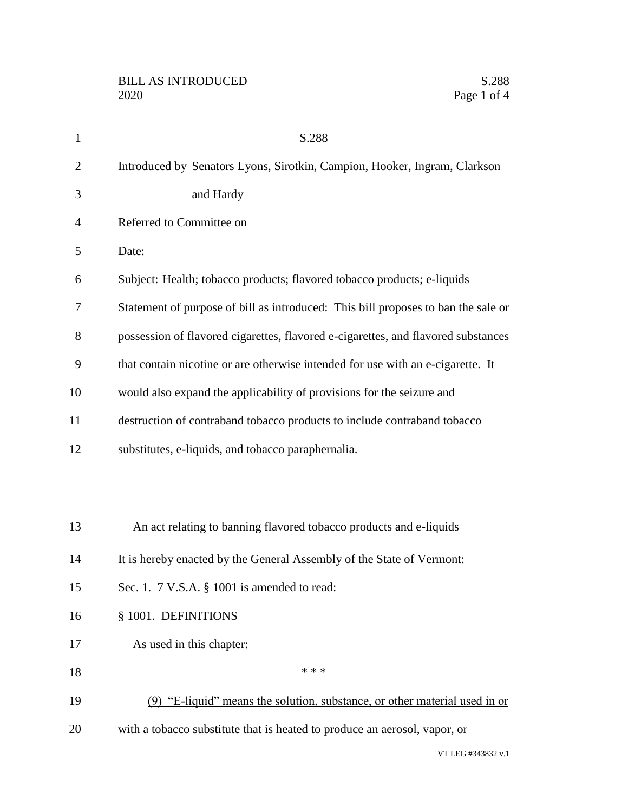| 1              | S.288                                                                             |
|----------------|-----------------------------------------------------------------------------------|
| $\overline{c}$ | Introduced by Senators Lyons, Sirotkin, Campion, Hooker, Ingram, Clarkson         |
| 3              | and Hardy                                                                         |
| 4              | Referred to Committee on                                                          |
| 5              | Date:                                                                             |
| 6              | Subject: Health; tobacco products; flavored tobacco products; e-liquids           |
| 7              | Statement of purpose of bill as introduced: This bill proposes to ban the sale or |
| 8              | possession of flavored cigarettes, flavored e-cigarettes, and flavored substances |
| 9              | that contain nicotine or are otherwise intended for use with an e-cigarette. It   |
| 10             | would also expand the applicability of provisions for the seizure and             |
| 11             | destruction of contraband tobacco products to include contraband tobacco          |
| 12             | substitutes, e-liquids, and tobacco paraphernalia.                                |
|                |                                                                                   |
|                |                                                                                   |
| 13             | An act relating to banning flavored tobacco products and e-liquids                |
| 14             | It is hereby enacted by the General Assembly of the State of Vermont:             |
| 15             | Sec. 1. $7 \text{ V.S.A. }$ \$ 1001 is amended to read:                           |
| 16             | § 1001. DEFINITIONS                                                               |
| 17             | As used in this chapter:                                                          |
| 18             | * * *                                                                             |
| 19             | (9) "E-liquid" means the solution, substance, or other material used in or        |
| 20             | with a tobacco substitute that is heated to produce an aerosol, vapor, or         |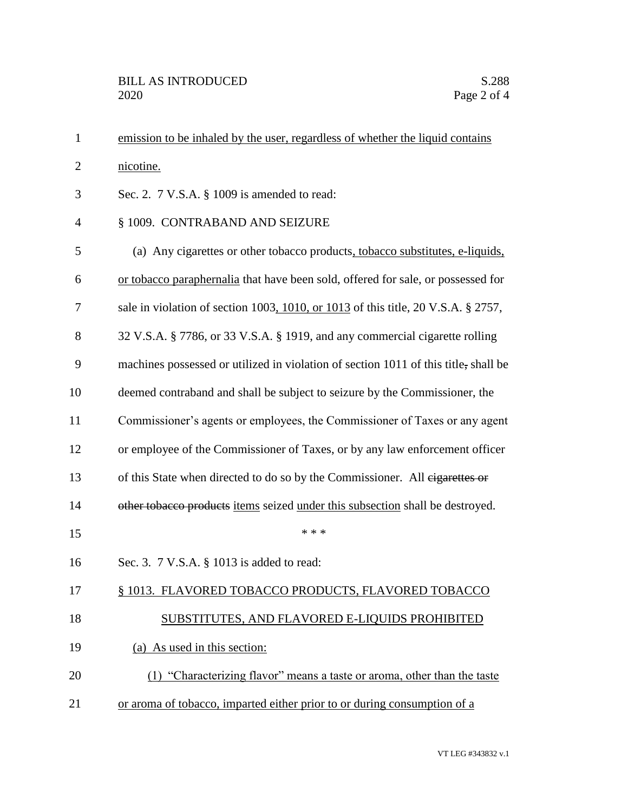| $\mathbf{1}$   | emission to be inhaled by the user, regardless of whether the liquid contains       |
|----------------|-------------------------------------------------------------------------------------|
| $\mathbf{2}$   | nicotine.                                                                           |
| 3              | Sec. 2. 7 V.S.A. § 1009 is amended to read:                                         |
| $\overline{4}$ | § 1009. CONTRABAND AND SEIZURE                                                      |
| 5              | (a) Any cigarettes or other tobacco products, tobacco substitutes, e-liquids,       |
| 6              | or tobacco paraphernalia that have been sold, offered for sale, or possessed for    |
| 7              | sale in violation of section 1003, 1010, or 1013 of this title, 20 V.S.A. § 2757,   |
| 8              | 32 V.S.A. § 7786, or 33 V.S.A. § 1919, and any commercial cigarette rolling         |
| 9              | machines possessed or utilized in violation of section 1011 of this title, shall be |
| 10             | deemed contraband and shall be subject to seizure by the Commissioner, the          |
| 11             | Commissioner's agents or employees, the Commissioner of Taxes or any agent          |
| 12             | or employee of the Commissioner of Taxes, or by any law enforcement officer         |
| 13             | of this State when directed to do so by the Commissioner. All eigarettes or         |
| 14             | other tobacco products items seized under this subsection shall be destroyed.       |
| 15             | * * *                                                                               |
| 16             | Sec. 3. 7 V.S.A. § 1013 is added to read:                                           |
| 17             | § 1013. FLAVORED TOBACCO PRODUCTS, FLAVORED TOBACCO                                 |
| 18             | SUBSTITUTES, AND FLAVORED E-LIQUIDS PROHIBITED                                      |
| 19             | (a) As used in this section:                                                        |
| 20             | (1) "Characterizing flavor" means a taste or aroma, other than the taste            |
| 21             | or aroma of tobacco, imparted either prior to or during consumption of a            |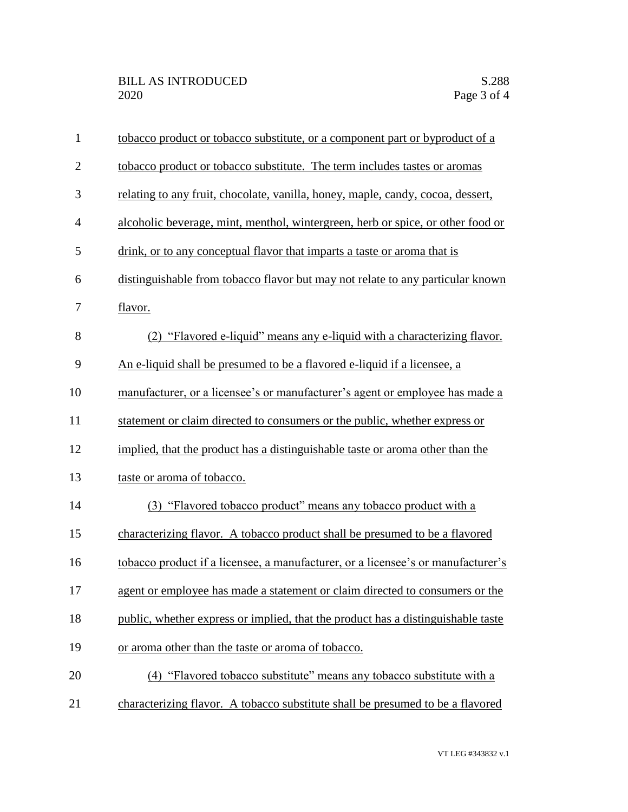| $\mathbf{1}$   | tobacco product or tobacco substitute, or a component part or byproduct of a     |
|----------------|----------------------------------------------------------------------------------|
| $\overline{2}$ | tobacco product or tobacco substitute. The term includes tastes or aromas        |
| 3              | relating to any fruit, chocolate, vanilla, honey, maple, candy, cocoa, dessert,  |
| $\overline{4}$ | alcoholic beverage, mint, menthol, wintergreen, herb or spice, or other food or  |
| 5              | drink, or to any conceptual flavor that imparts a taste or aroma that is         |
| 6              | distinguishable from tobacco flavor but may not relate to any particular known   |
| 7              | flavor.                                                                          |
| 8              | (2) "Flavored e-liquid" means any e-liquid with a characterizing flavor.         |
| 9              | An e-liquid shall be presumed to be a flavored e-liquid if a licensee, a         |
| 10             | manufacturer, or a licensee's or manufacturer's agent or employee has made a     |
| 11             | statement or claim directed to consumers or the public, whether express or       |
| 12             | implied, that the product has a distinguishable taste or aroma other than the    |
| 13             | taste or aroma of tobacco.                                                       |
| 14             | (3) "Flavored tobacco product" means any tobacco product with a                  |
| 15             | characterizing flavor. A tobacco product shall be presumed to be a flavored      |
| 16             | tobacco product if a licensee, a manufacturer, or a licensee's or manufacturer's |
| 17             | agent or employee has made a statement or claim directed to consumers or the     |
| 18             | public, whether express or implied, that the product has a distinguishable taste |
| 19             | or aroma other than the taste or aroma of tobacco.                               |
| 20             | (4) "Flavored tobacco substitute" means any tobacco substitute with a            |
| 21             | characterizing flavor. A tobacco substitute shall be presumed to be a flavored   |